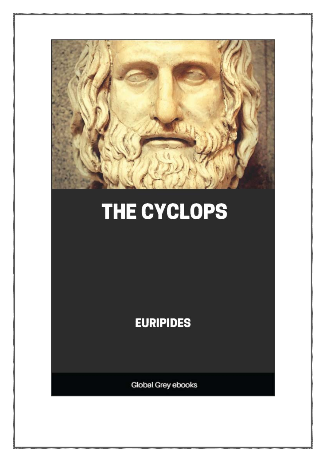

# THE CYCLOPS

**EURIPIDES** 

Global Grey ebooks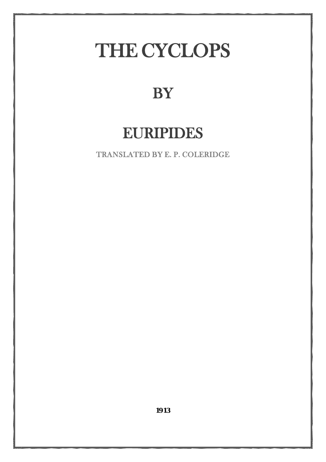## THE CYCLOPS

## **BY**

### EURIPIDES

TRANSLATED BY E. P. COLERIDGE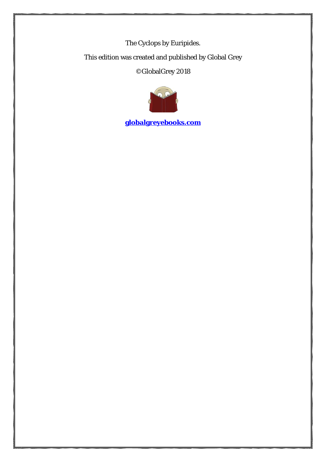The Cyclops by Euripides.

This edition was created and published by Global Grey

©GlobalGrey 2018

![](_page_2_Picture_3.jpeg)

**[globalgreyebooks.com](https://www.globalgreyebooks.com/)**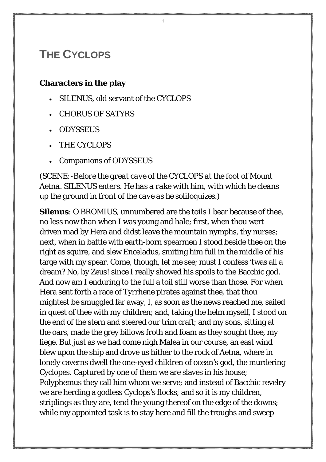#### **THE CYCLOPS**

#### **Characters in the play**

- SILENUS, old servant of the CYCLOPS
- CHORUS OF SATYRS
- ODYSSEUS
- THE CYCLOPS
- Companions of ODYSSEUS

#### *(SCENE:-Before the great cave of the CYCLOPS at the foot of Mount Aetna. SILENUS enters. He has a rake with him, with which he cleans up the ground in front of the cave as he soliloquizes.)*

1

**Silenus**: O BROMIUS, unnumbered are the toils I bear because of thee, no less now than when I was young and hale; first, when thou wert driven mad by Hera and didst leave the mountain nymphs, thy nurses; next, when in battle with earth-born spearmen I stood beside thee on the right as squire, and slew Enceladus, smiting him full in the middle of his targe with my spear. Come, though, let me see; must I confess 'twas all a dream? No, by Zeus! since I really showed his spoils to the Bacchic god. And now am I enduring to the full a toil still worse than those. For when Hera sent forth a race of Tyrrhene pirates against thee, that thou mightest be smuggled far away, I, as soon as the news reached me, sailed in quest of thee with my children; and, taking the helm myself, I stood on the end of the stern and steered our trim craft; and my sons, sitting at the oars, made the grey billows froth and foam as they sought thee, my liege. But just as we had come nigh Malea in our course, an east wind blew upon the ship and drove us hither to the rock of Aetna, where in lonely caverns dwell the one-eyed children of ocean's god, the murdering Cyclopes. Captured by one of them we are slaves in his house; Polyphemus they call him whom we serve; and instead of Bacchic revelry we are herding a godless Cyclops's flocks; and so it is my children, striplings as they are, tend the young thereof on the edge of the downs; while my appointed task is to stay here and fill the troughs and sweep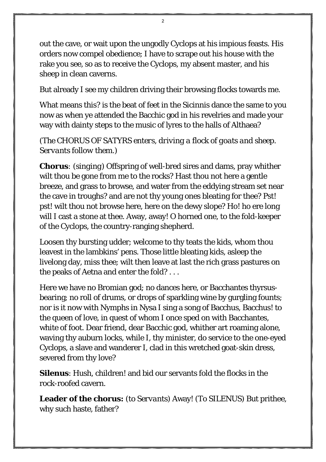out the cave, or wait upon the ungodly Cyclops at his impious feasts. His orders now compel obedience; I have to scrape out his house with the rake you see, so as to receive the Cyclops, my absent master, and his sheep in clean caverns.

But already I see my children driving their browsing flocks towards me.

What means this? is the beat of feet in the Sicinnis dance the same to you now as when ye attended the Bacchic god in his revelries and made your way with dainty steps to the music of lyres to the halls of Althaea?

#### *(The CHORUS OF SATYRS enters, driving a flock of goats and sheep. Servants follow them.)*

**Chorus***: (singing)* Offspring of well-bred sires and dams, pray whither wilt thou be gone from me to the rocks? Hast thou not here a gentle breeze, and grass to browse, and water from the eddying stream set near the cave in troughs? and are not thy young ones bleating for thee? Pst! pst! wilt thou not browse here, here on the dewy slope? Ho! ho ere long will I cast a stone at thee. Away, away! O horned one, to the fold-keeper of the Cyclops, the country-ranging shepherd.

Loosen thy bursting udder; welcome to thy teats the kids, whom thou leavest in the lambkins' pens. Those little bleating kids, asleep the livelong day, miss thee; wilt then leave at last the rich grass pastures on the peaks of Aetna and enter the fold? . . .

Here we have no Bromian god; no dances here, or Bacchantes thyrsusbearing; no roll of drums, or drops of sparkling wine by gurgling founts; nor is it now with Nymphs in Nysa I sing a song of Bacchus, Bacchus! to the queen of love, in quest of whom I once sped on with Bacchantes, white of foot. Dear friend, dear Bacchic god, whither art roaming alone, waving thy auburn locks, while I, thy minister, do service to the one-eyed Cyclops, a slave and wanderer I, clad in this wretched goat-skin dress, severed from thy love?

**Silenus**: Hush, children! and bid our servants fold the flocks in the rock-roofed cavern.

**Leader of the chorus:** *(to Servants)* Away! *(To SILENUS)* But prithee, why such haste, father?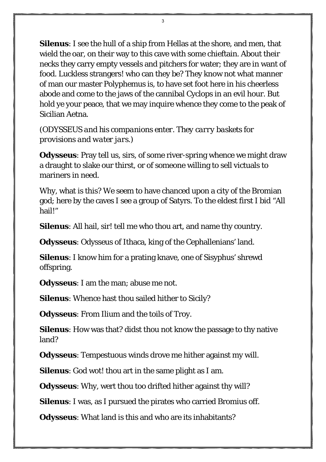**Silenus**: I see the hull of a ship from Hellas at the shore, and men, that wield the oar, on their way to this cave with some chieftain. About their necks they carry empty vessels and pitchers for water; they are in want of food. Luckless strangers! who can they be? They know not what manner of man our master Polyphemus is, to have set foot here in his cheerless abode and come to the jaws of the cannibal Cyclops in an evil hour. But hold ye your peace, that we may inquire whence they come to the peak of Sicilian Aetna.

*(ODYSSEUS and his companions enter. They carry baskets for provisions and water jars.)*

**Odysseus**: Pray tell us, sirs, of some river-spring whence we might draw a draught to slake our thirst, or of someone willing to sell victuals to mariners in need.

Why, what is this? We seem to have chanced upon a city of the Bromian god; here by the caves I see a group of Satyrs. To the eldest first I bid "All hail!"

**Silenus**: All hail, sir! tell me who thou art, and name thy country.

**Odysseus**: Odysseus of Ithaca, king of the Cephallenians' land.

**Silenus**: I know him for a prating knave, one of Sisyphus' shrewd offspring.

**Odysseus**: I am the man; abuse me not.

**Silenus**: Whence hast thou sailed hither to Sicily?

**Odysseus**: From Ilium and the toils of Troy.

**Silenus**: How was that? didst thou not know the passage to thy native land?

**Odysseus**: Tempestuous winds drove me hither against my will.

**Silenus**: God wot! thou art in the same plight as I am.

**Odysseus**: Why, wert thou too drifted hither against thy will?

**Silenus**: I was, as I pursued the pirates who carried Bromius off.

**Odysseus**: What land is this and who are its inhabitants?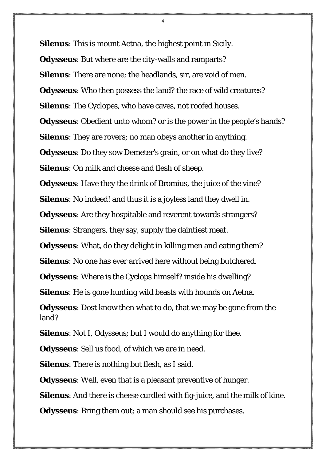**Silenus**: This is mount Aetna, the highest point in Sicily. **Odysseus**: But where are the city-walls and ramparts? **Silenus**: There are none; the headlands, sir, are void of men. **Odysseus**: Who then possess the land? the race of wild creatures? **Silenus**: The Cyclopes, who have caves, not roofed houses. **Odysseus**: Obedient unto whom? or is the power in the people's hands? **Silenus**: They are rovers; no man obeys another in anything. **Odysseus**: Do they sow Demeter's grain, or on what do they live? **Silenus**: On milk and cheese and flesh of sheep. **Odysseus**: Have they the drink of Bromius, the juice of the vine? **Silenus**: No indeed! and thus it is a joyless land they dwell in. **Odysseus**: Are they hospitable and reverent towards strangers? **Silenus:** Strangers, they say, supply the daintiest meat. **Odysseus**: What, do they delight in killing men and eating them? **Silenus**: No one has ever arrived here without being butchered. **Odysseus**: Where is the Cyclops himself? inside his dwelling? **Silenus**: He is gone hunting wild beasts with hounds on Aetna. **Odysseus**: Dost know then what to do, that we may be gone from the land? **Silenus**: Not I, Odysseus; but I would do anything for thee. **Odysseus**: Sell us food, of which we are in need. **Silenus**: There is nothing but flesh, as I said. **Odysseus**: Well, even that is a pleasant preventive of hunger.

4

**Silenus**: And there is cheese curdled with fig-juice, and the milk of kine.

**Odysseus**: Bring them out; a man should see his purchases.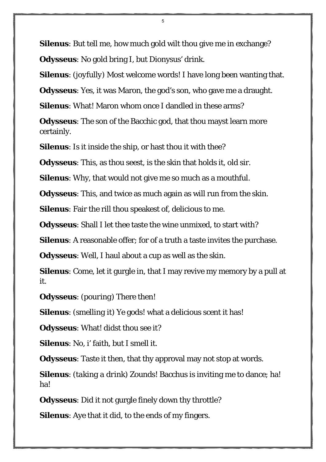**Silenus**: But tell me, how much gold wilt thou give me in exchange? **Odysseus**: No gold bring I, but Dionysus' drink.

**Silenus**: *(joyfully)* Most welcome words! I have long been wanting that.

**Odysseus**: Yes, it was Maron, the god's son, who gave me a draught.

**Silenus:** What! Maron whom once I dandled in these arms?

**Odysseus**: The son of the Bacchic god, that thou mayst learn more certainly.

**Silenus**: Is it inside the ship, or hast thou it with thee?

**Odysseus**: This, as thou seest, is the skin that holds it, old sir.

**Silenus**: Why, that would not give me so much as a mouthful.

**Odysseus**: This, and twice as much again as will run from the skin.

**Silenus**: Fair the rill thou speakest of, delicious to me.

**Odysseus**: Shall I let thee taste the wine unmixed, to start with?

**Silenus:** A reasonable offer; for of a truth a taste invites the purchase.

**Odysseus**: Well, I haul about a cup as well as the skin.

**Silenus**: Come, let it gurgle in, that I may revive my memory by a pull at it.

**Odysseus**: *(pouring)* There then!

**Silenus**: *(smelling it)* Ye gods! what a delicious scent it has!

**Odysseus**: What! didst thou see it?

**Silenus**: No, i' faith, but I smell it.

**Odysseus**: Taste it then, that thy approval may not stop at words.

**Silenus**: *(taking a drink)* Zounds! Bacchus is inviting me to dance; ha! ha!

**Odysseus**: Did it not gurgle finely down thy throttle?

**Silenus**: Aye that it did, to the ends of my fingers.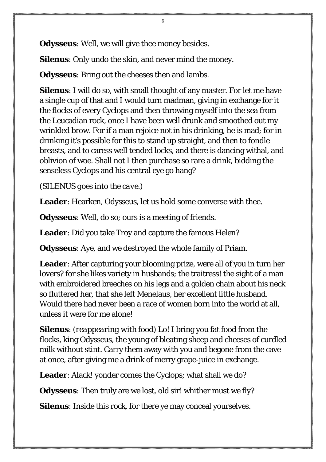**Odysseus**: Well, we will give thee money besides.

**Silenus**: Only undo the skin, and never mind the money.

**Odysseus**: Bring out the cheeses then and lambs.

**Silenus**: I will do so, with small thought of any master. For let me have a single cup of that and I would turn madman, giving in exchange for it the flocks of every Cyclops and then throwing myself into the sea from the Leucadian rock, once I have been well drunk and smoothed out my wrinkled brow. For if a man rejoice not in his drinking, he is mad; for in drinking it's possible for this to stand up straight, and then to fondle breasts, and to caress well tended locks, and there is dancing withal, and oblivion of woe. Shall not I then purchase so rare a drink, bidding the senseless Cyclops and his central eye go hang?

*(SILENUS goes into the cave.)*

**Leader**: Hearken, Odysseus, let us hold some converse with thee.

**Odysseus**: Well, do so; ours is a meeting of friends.

**Leader**: Did you take Troy and capture the famous Helen?

**Odysseus**: Aye, and we destroyed the whole family of Priam.

**Leader**: After capturing your blooming prize, were all of you in turn her lovers? for she likes variety in husbands; the traitress! the sight of a man with embroidered breeches on his legs and a golden chain about his neck so fluttered her, that she left Menelaus, her excellent little husband. Would there had never been a race of women born into the world at all, unless it were for me alone!

**Silenus**: *(reappearing with food)* Lo! I bring you fat food from the flocks, king Odysseus, the young of bleating sheep and cheeses of curdled milk without stint. Carry them away with you and begone from the cave at once, after giving me a drink of merry grape-juice in exchange.

**Leader**: Alack! yonder comes the Cyclops; what shall we do?

**Odysseus**: Then truly are we lost, old sir! whither must we fly?

**Silenus**: Inside this rock, for there ye may conceal yourselves.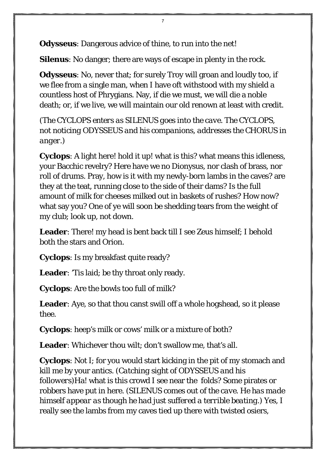**Odysseus**: Dangerous advice of thine, to run into the net!

**Silenus:** No danger; there are ways of escape in plenty in the rock.

**Odysseus**: No, never that; for surely Troy will groan and loudly too, if we flee from a single man, when I have oft withstood with my shield a countless host of Phrygians. Nay, if die we must, we will die a noble death; or, if we live, we will maintain our old renown at least with credit.

7

*(The CYCLOPS enters as SILENUS goes into the cave. The CYCLOPS, not noticing ODYSSEUS and his companions, addresses the CHORUS in anger.)*

**Cyclops**: A light here! hold it up! what is this? what means this idleness, your Bacchic revelry? Here have we no Dionysus, nor clash of brass, nor roll of drums. Pray, how is it with my newly-born lambs in the caves? are they at the teat, running close to the side of their dams? Is the full amount of milk for cheeses milked out in baskets of rushes? How now? what say you? One of ye will soon be shedding tears from the weight of my club; look up, not down.

**Leader**: There! my head is bent back till I see Zeus himself; I behold both the stars and Orion.

**Cyclops**: Is my breakfast quite ready?

**Leader**: 'Tis laid; be thy throat only ready.

**Cyclops**: Are the bowls too full of milk?

**Leader:** Aye, so that thou canst swill off a whole hogshead, so it please thee.

**Cyclops**: heep's milk or cows' milk or a mixture of both?

**Leader**: Whichever thou wilt; don't swallow me, that's all.

**Cyclops**: Not I; for you would start kicking in the pit of my stomach and kill me by your antics. *(Catching sight of ODYSSEUS and his followers)*Ha! what is this crowd I see near the folds? Some pirates or robbers have put in here. *(SILENUS comes out of the cave. He has made himself appear as though he had just suffered a terrible beating.)* Yes, I really see the lambs from my caves tied up there with twisted osiers,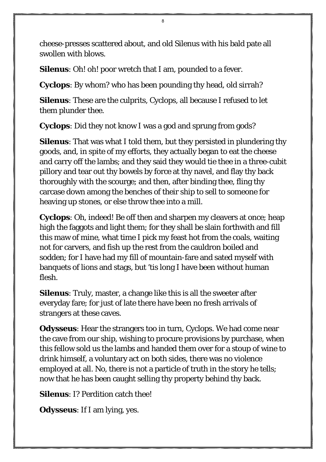cheese-presses scattered about, and old Silenus with his bald pate all swollen with blows.

**Silenus**: Oh! oh! poor wretch that I am, pounded to a fever.

**Cyclops**: By whom? who has been pounding thy head, old sirrah?

**Silenus**: These are the culprits, Cyclops, all because I refused to let them plunder thee.

**Cyclops**: Did they not know I was a god and sprung from gods?

**Silenus**: That was what I told them, but they persisted in plundering thy goods, and, in spite of my efforts, they actually began to eat the cheese and carry off the lambs; and they said they would tie thee in a three-cubit pillory and tear out thy bowels by force at thy navel, and flay thy back thoroughly with the scourge; and then, after binding thee, fling thy carcase down among the benches of their ship to sell to someone for heaving up stones, or else throw thee into a mill.

**Cyclops**: Oh, indeed! Be off then and sharpen my cleavers at once; heap high the faggots and light them; for they shall be slain forthwith and fill this maw of mine, what time I pick my feast hot from the coals, waiting not for carvers, and fish up the rest from the cauldron boiled and sodden; for I have had my fill of mountain-fare and sated myself with banquets of lions and stags, but 'tis long I have been without human flesh.

**Silenus**: Truly, master, a change like this is all the sweeter after everyday fare; for just of late there have been no fresh arrivals of strangers at these caves.

**Odysseus**: Hear the strangers too in turn, Cyclops. We had come near the cave from our ship, wishing to procure provisions by purchase, when this fellow sold us the lambs and handed them over for a stoup of wine to drink himself, a voluntary act on both sides, there was no violence employed at all. No, there is not a particle of truth in the story he tells; now that he has been caught selling thy property behind thy back.

**Silenus**: I? Perdition catch thee!

**Odysseus**: If I am lying, yes.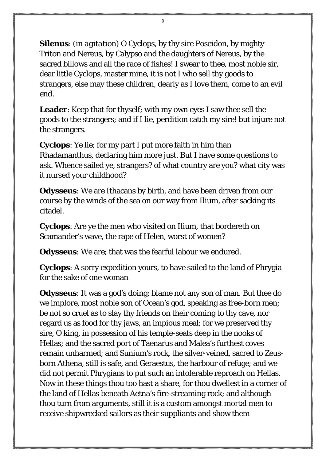**Silenus**: *(in agitation)* O Cyclops, by thy sire Poseidon, by mighty Triton and Nereus, by Calypso and the daughters of Nereus, by the sacred billows and all the race of fishes! I swear to thee, most noble sir, dear little Cyclops, master mine, it is not I who sell thy goods to strangers, else may these children, dearly as I love them, come to an evil end.

**Leader**: Keep that for thyself; with my own eyes I saw thee sell the goods to the strangers; and if I lie, perdition catch my sire! but injure not the strangers.

**Cyclops**: Ye lie; for my part I put more faith in him than Rhadamanthus, declaring him more just. But I have some questions to ask. Whence sailed ye, strangers? of what country are you? what city was it nursed your childhood?

**Odysseus**: We are Ithacans by birth, and have been driven from our course by the winds of the sea on our way from Ilium, after sacking its citadel.

**Cyclops**: Are ye the men who visited on Ilium, that bordereth on Scamander's wave, the rape of Helen, worst of women?

**Odysseus**: We are; that was the fearful labour we endured.

**Cyclops**: A sorry expedition yours, to have sailed to the land of Phrygia for the sake of one woman

**Odysseus**: It was a god's doing; blame not any son of man. But thee do we implore, most noble son of Ocean's god, speaking as free-born men; be not so cruel as to slay thy friends on their coming to thy cave, nor regard us as food for thy jaws, an impious meal; for we preserved thy sire, O king, in possession of his temple-seats deep in the nooks of Hellas; and the sacred port of Taenarus and Malea's furthest coves remain unharmed; and Sunium's rock, the silver-veined, sacred to Zeusborn Athena, still is safe, and Geraestus, the harbour of refuge; and we did not permit Phrygians to put such an intolerable reproach on Hellas. Now in these things thou too hast a share, for thou dwellest in a corner of the land of Hellas beneath Aetna's fire-streaming rock; and although thou turn from arguments, still it is a custom amongst mortal men to receive shipwrecked sailors as their suppliants and show them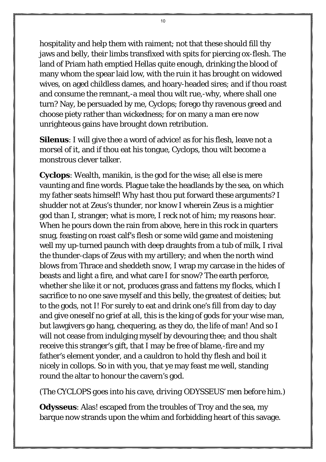hospitality and help them with raiment; not that these should fill thy jaws and belly, their limbs transfixed with spits for piercing ox-flesh. The land of Priam hath emptied Hellas quite enough, drinking the blood of many whom the spear laid low, with the ruin it has brought on widowed wives, on aged childless dames, and hoary-headed sires; and if thou roast and consume the remnant,-a meal thou wilt rue,-why, where shall one turn? Nay, be persuaded by me, Cyclops; forego thy ravenous greed and choose piety rather than wickedness; for on many a man ere now unrighteous gains have brought down retribution.

**Silenus**: I will give thee a word of advice! as for his flesh, leave not a morsel of it, and if thou eat his tongue, Cyclops, thou wilt become a monstrous clever talker.

**Cyclops**: Wealth, manikin, is the god for the wise; all else is mere vaunting and fine words. Plague take the headlands by the sea, on which my father seats himself! Why hast thou put forward these arguments? I shudder not at Zeus's thunder, nor know I wherein Zeus is a mightier god than I, stranger; what is more, I reck not of him; my reasons hear. When he pours down the rain from above, here in this rock in quarters snug, feasting on roast calf's flesh or some wild game and moistening well my up-turned paunch with deep draughts from a tub of milk, I rival the thunder-claps of Zeus with my artillery; and when the north wind blows from Thrace and sheddeth snow, I wrap my carcase in the hides of beasts and light a fire, and what care I for snow? The earth perforce, whether she like it or not, produces grass and fattens my flocks, which I sacrifice to no one save myself and this belly, the greatest of deities; but to the gods, not I! For surely to eat and drink one's fill from day to day and give oneself no grief at all, this is the king of gods for your wise man, but lawgivers go hang, chequering, as they do, the life of man! And so I will not cease from indulging myself by devouring thee; and thou shalt receive this stranger's gift, that I may be free of blame,-fire and my father's element yonder, and a cauldron to hold thy flesh and boil it nicely in collops. So in with you, that ye may feast me well, standing round the altar to honour the cavern's god.

#### *(The CYCLOPS goes into his cave, driving ODYSSEUS' men before him.)*

**Odysseus:** Alas! escaped from the troubles of Troy and the sea, my barque now strands upon the whim and forbidding heart of this savage.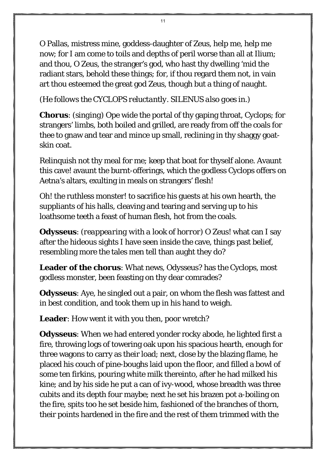O Pallas, mistress mine, goddess-daughter of Zeus, help me, help me now; for I am come to toils and depths of peril worse than all at Ilium; and thou, O Zeus, the stranger's god, who hast thy dwelling 'mid the radiant stars, behold these things; for, if thou regard them not, in vain art thou esteemed the great god Zeus, though but a thing of naught.

#### *(He follows the CYCLOPS reluctantly. SILENUS also goes in.)*

**Chorus**: *(singing)* Ope wide the portal of thy gaping throat, Cyclops; for strangers' limbs, both boiled and grilled, are ready from off the coals for thee to gnaw and tear and mince up small, reclining in thy shaggy goatskin coat.

Relinquish not thy meal for me; keep that boat for thyself alone. Avaunt this cave! avaunt the burnt-offerings, which the godless Cyclops offers on Aetna's altars, exulting in meals on strangers' flesh!

Oh! the ruthless monster! to sacrifice his guests at his own hearth, the suppliants of his halls, cleaving and tearing and serving up to his loathsome teeth a feast of human flesh, hot from the coals.

**Odysseus**: *(reappearing with a look of horror)* O Zeus! what can I say after the hideous sights I have seen inside the cave, things past belief, resembling more the tales men tell than aught they do?

**Leader of the chorus**: What news, Odysseus? has the Cyclops, most godless monster, been feasting on thy dear comrades?

**Odysseus**: Aye, he singled out a pair, on whom the flesh was fattest and in best condition, and took them up in his hand to weigh.

**Leader**: How went it with you then, poor wretch?

**Odysseus**: When we had entered yonder rocky abode, he lighted first a fire, throwing logs of towering oak upon his spacious hearth, enough for three wagons to carry as their load; next, close by the blazing flame, he placed his couch of pine-boughs laid upon the floor, and filled a bowl of some ten firkins, pouring white milk thereinto, after he had milked his kine; and by his side he put a can of ivy-wood, whose breadth was three cubits and its depth four maybe; next he set his brazen pot a-boiling on the fire, spits too he set beside him, fashioned of the branches of thorn, their points hardened in the fire and the rest of them trimmed with the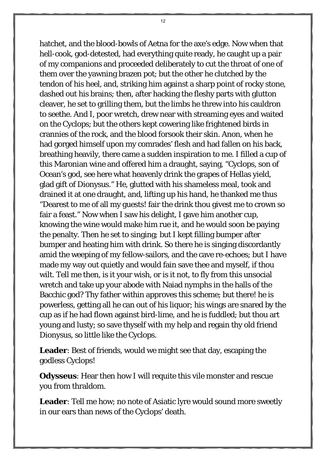hatchet, and the blood-bowls of Aetna for the axe's edge. Now when that hell-cook, god-detested, had everything quite ready, he caught up a pair of my companions and proceeded deliberately to cut the throat of one of them over the yawning brazen pot; but the other he clutched by the tendon of his heel, and, striking him against a sharp point of rocky stone, dashed out his brains; then, after hacking the fleshy parts with glutton cleaver, he set to grilling them, but the limbs he threw into his cauldron to seethe. And I, poor wretch, drew near with streaming eyes and waited on the Cyclops; but the others kept cowering like frightened birds in crannies of the rock, and the blood forsook their skin. Anon, when he had gorged himself upon my comrades' flesh and had fallen on his back, breathing heavily, there came a sudden inspiration to me. I filled a cup of this Maronian wine and offered him a draught, saying, "Cyclops, son of Ocean's god, see here what heavenly drink the grapes of Hellas yield, glad gift of Dionysus." He, glutted with his shameless meal, took and drained it at one draught, and, lifting up his hand, he thanked me thus "Dearest to me of all my guests! fair the drink thou givest me to crown so fair a feast." Now when I saw his delight, I gave him another cup, knowing the wine would make him rue it, and he would soon be paying the penalty. Then he set to singing; but I kept filling bumper after bumper and heating him with drink. So there he is singing discordantly amid the weeping of my fellow-sailors, and the cave re-echoes; but I have made my way out quietly and would fain save thee and myself, if thou wilt. Tell me then, is it your wish, or is it not, to fly from this unsocial wretch and take up your abode with Naiad nymphs in the halls of the Bacchic god? Thy father within approves this scheme; but there! he is powerless, getting all he can out of his liquor; his wings are snared by the cup as if he had flown against bird-lime, and he is fuddled; but thou art young and lusty; so save thyself with my help and regain thy old friend Dionysus, so little like the Cyclops.

**Leader**: Best of friends, would we might see that day, escaping the godless Cyclops!

**Odysseus**: Hear then how I will requite this vile monster and rescue you from thraldom.

**Leader**: Tell me how; no note of Asiatic lyre would sound more sweetly in our ears than news of the Cyclops' death.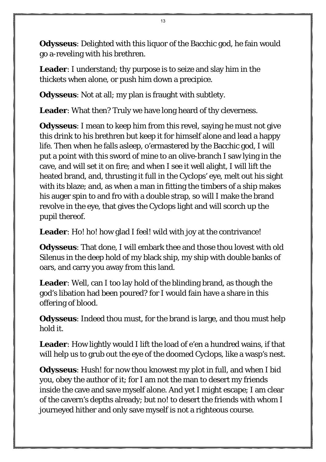**Odysseus**: Delighted with this liquor of the Bacchic god, he fain would go a-reveling with his brethren.

**Leader**: I understand; thy purpose is to seize and slay him in the thickets when alone, or push him down a precipice.

**Odysseus**: Not at all; my plan is fraught with subtlety.

**Leader**: What then? Truly we have long heard of thy cleverness.

**Odysseus**: I mean to keep him from this revel, saying he must not give this drink to his brethren but keep it for himself alone and lead a happy life. Then when he falls asleep, o'ermastered by the Bacchic god, I will put a point with this sword of mine to an olive-branch I saw lying in the cave, and will set it on fire; and when I see it well alight, I will lift the heated brand, and, thrusting it full in the Cyclops' eye, melt out his sight with its blaze; and, as when a man in fitting the timbers of a ship makes his auger spin to and fro with a double strap, so will I make the brand revolve in the eye, that gives the Cyclops light and will scorch up the pupil thereof.

**Leader:** Ho! ho! how glad I feel! wild with joy at the contrivance!

**Odysseus**: That done, I will embark thee and those thou lovest with old Silenus in the deep hold of my black ship, my ship with double banks of oars, and carry you away from this land.

**Leader**: Well, can I too lay hold of the blinding brand, as though the god's libation had been poured? for I would fain have a share in this offering of blood.

**Odysseus**: Indeed thou must, for the brand is large, and thou must help hold it.

**Leader**: How lightly would I lift the load of e'en a hundred wains, if that will help us to grub out the eye of the doomed Cyclops, like a wasp's nest.

**Odysseus**: Hush! for now thou knowest my plot in full, and when I bid you, obey the author of it; for I am not the man to desert my friends inside the cave and save myself alone. And yet I might escape; I am clear of the cavern's depths already; but no! to desert the friends with whom I journeyed hither and only save myself is not a righteous course.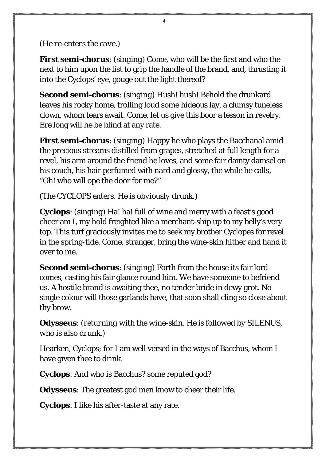*(He re-enters the cave.)*

**First semi-chorus**: *(singing)* Come, who will be the first and who the next to him upon the list to grip the handle of the brand, and, thrusting it into the Cyclops' eye, gouge out the light thereof?

**Second semi-chorus**: *(singing)* Hush! hush! Behold the drunkard leaves his rocky home, trolling loud some hideous lay, a clumsy tuneless clown, whom tears await. Come, let us give this boor a lesson in revelry. Ere long will he be blind at any rate.

**First semi-chorus**: *(singing)* Happy he who plays the Bacchanal amid the precious streams distilled from grapes, stretched at full length for a revel, his arm around the friend he loves, and some fair dainty damsel on his couch, his hair perfumed with nard and glossy, the while he calls, "Oh! who will ope the door for me?"

#### *(The CYCLOPS enters. He is obviously drunk.)*

**Cyclops**: *(singing)* Ha! ha! full of wine and merry with a feast's good cheer am I, my hold freighted like a merchant-ship up to my belly's very top. This turf graciously invites me to seek my brother Cyclopes for revel in the spring-tide. Come, stranger, bring the wine-skin hither and hand it over to me.

**Second semi-chorus**: *(singing)* Forth from the house its fair lord comes, casting his fair glance round him. We have someone to befriend us. A hostile brand is awaiting thee, no tender bride in dewy grot. No single colour will those garlands have, that soon shall cling so close about thy brow.

**Odysseus**: *(returning with the wine-skin. He is followed by SILENUS, who is also drunk.)*

Hearken, Cyclops; for I am well versed in the ways of Bacchus, whom I have given thee to drink.

**Cyclops**: And who is Bacchus? some reputed god?

**Odysseus**: The greatest god men know to cheer their life.

**Cyclops**: I like his after-taste at any rate.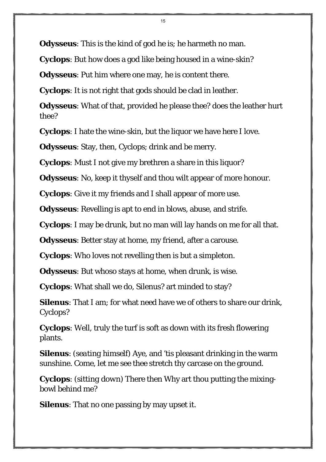**Odysseus**: This is the kind of god he is; he harmeth no man.

**Cyclops**: But how does a god like being housed in a wine-skin?

**Odysseus**: Put him where one may, he is content there.

**Cyclops**: It is not right that gods should be clad in leather.

**Odysseus**: What of that, provided he please thee? does the leather hurt thee?

**Cyclops**: I hate the wine-skin, but the liquor we have here I love.

**Odysseus**: Stay, then, Cyclops; drink and be merry.

**Cyclops**: Must I not give my brethren a share in this liquor?

**Odysseus**: No, keep it thyself and thou wilt appear of more honour.

**Cyclops**: Give it my friends and I shall appear of more use.

**Odysseus**: Revelling is apt to end in blows, abuse, and strife.

**Cyclops**: I may be drunk, but no man will lay hands on me for all that.

**Odysseus**: Better stay at home, my friend, after a carouse.

**Cyclops**: Who loves not revelling then is but a simpleton.

**Odysseus**: But whoso stays at home, when drunk, is wise.

**Cyclops**: What shall we do, Silenus? art minded to stay?

**Silenus**: That I am; for what need have we of others to share our drink, Cyclops?

**Cyclops**: Well, truly the turf is soft as down with its fresh flowering plants.

**Silenus**: *(seating himself)* Aye, and 'tis pleasant drinking in the warm sunshine. Come, let me see thee stretch thy carcase on the ground.

**Cyclops**: *(sitting down)* There then Why art thou putting the mixingbowl behind me?

**Silenus**: That no one passing by may upset it.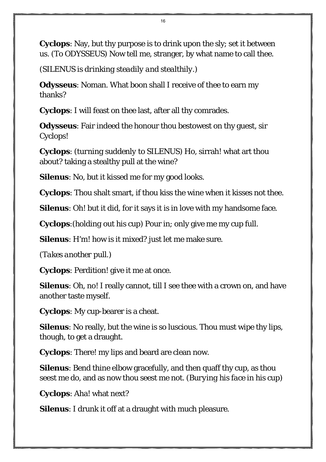**Cyclops**: Nay, but thy purpose is to drink upon the sly; set it between us. *(To ODYSSEUS)* Now tell me, stranger, by what name to call thee.

*(SILENUS is drinking steadily and stealthily.)*

**Odysseus**: Noman. What boon shall I receive of thee to earn my thanks?

**Cyclops**: I will feast on thee last, after all thy comrades.

**Odysseus**: Fair indeed the honour thou bestowest on thy guest, sir Cyclops!

**Cyclops**: *(turning suddenly to SILENUS)* Ho, sirrah! what art thou about? taking a stealthy pull at the wine?

**Silenus**: No, but it kissed me for my good looks.

**Cyclops**: Thou shalt smart, if thou kiss the wine when it kisses not thee.

**Silenus**: Oh! but it did, for it says it is in love with my handsome face.

**Cyclops**:*(holding out his cup)* Pour in; only give me my cup full.

**Silenus**: H'm! how is it mixed? just let me make sure.

*(Takes another pull.)*

**Cyclops**: Perdition! give it me at once.

**Silenus**: Oh, no! I really cannot, till I see thee with a crown on, and have another taste myself.

**Cyclops**: My cup-bearer is a cheat.

**Silenus**: No really, but the wine is so luscious. Thou must wipe thy lips, though, to get a draught.

**Cyclops**: There! my lips and beard are clean now.

**Silenus**: Bend thine elbow gracefully, and then quaff thy cup, as thou seest me do, and as now thou seest me not. *(Burying his face in his cup)*

**Cyclops**: Aha! what next?

**Silenus**: I drunk it off at a draught with much pleasure.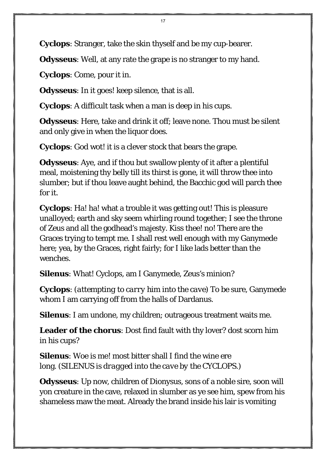**Cyclops**: Stranger, take the skin thyself and be my cup-bearer.

**Odysseus**: Well, at any rate the grape is no stranger to my hand.

**Cyclops**: Come, pour it in.

**Odysseus**: In it goes! keep silence, that is all.

**Cyclops**: A difficult task when a man is deep in his cups.

**Odysseus**: Here, take and drink it off; leave none. Thou must be silent and only give in when the liquor does.

**Cyclops**: God wot! it is a clever stock that bears the grape.

**Odysseus**: Aye, and if thou but swallow plenty of it after a plentiful meal, moistening thy belly till its thirst is gone, it will throw thee into slumber; but if thou leave aught behind, the Bacchic god will parch thee for it.

**Cyclops**: Ha! ha! what a trouble it was getting out! This is pleasure unalloyed; earth and sky seem whirling round together; I see the throne of Zeus and all the godhead's majesty. Kiss thee! no! There are the Graces trying to tempt me. I shall rest well enough with my Ganymede here; yea, by the Graces, right fairly; for I like lads better than the wenches.

**Silenus**: What! Cyclops, am I Ganymede, Zeus's minion?

**Cyclops**: *(attempting to carry him into the cave)* To be sure, Ganymede whom I am carrying off from the halls of Dardanus.

**Silenus**: I am undone, my children; outrageous treatment waits me.

**Leader of the chorus**: Dost find fault with thy lover? dost scorn him in his cups?

**Silenus**: Woe is me! most bitter shall I find the wine ere long. *(SILENUS is dragged into the cave by the CYCLOPS.)*

**Odysseus**: Up now, children of Dionysus, sons of a noble sire, soon will yon creature in the cave, relaxed in slumber as ye see him, spew from his shameless maw the meat. Already the brand inside his lair is vomiting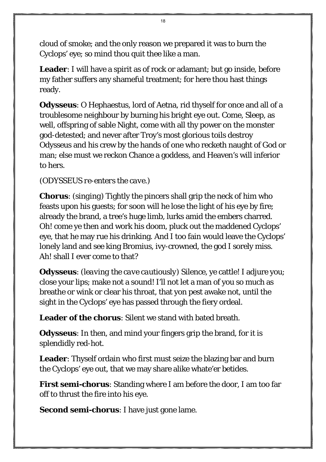cloud of smoke; and the only reason we prepared it was to burn the Cyclops' eye; so mind thou quit thee like a man.

**Leader**: I will have a spirit as of rock or adamant; but go inside, before my father suffers any shameful treatment; for here thou hast things ready.

**Odysseus**: O Hephaestus, lord of Aetna, rid thyself for once and all of a troublesome neighbour by burning his bright eye out. Come, Sleep, as well, offspring of sable Night, come with all thy power on the monster god-detested; and never after Troy's most glorious toils destroy Odysseus and his crew by the hands of one who recketh naught of God or man; else must we reckon Chance a goddess, and Heaven's will inferior to hers.

#### *(ODYSSEUS re-enters the cave.)*

**Chorus**: *(singing)* Tightly the pincers shall grip the neck of him who feasts upon his guests; for soon will he lose the light of his eye by fire; already the brand, a tree's huge limb, lurks amid the embers charred. Oh! come ye then and work his doom, pluck out the maddened Cyclops' eye, that he may rue his drinking. And I too fain would leave the Cyclops' lonely land and see king Bromius, ivy-crowned, the god I sorely miss. Ah! shall I ever come to that?

**Odysseus**: *(leaving the cave cautiously)* Silence, ye cattle! I adjure you; close your lips; make not a sound! I'll not let a man of you so much as breathe or wink or clear his throat, that yon pest awake not, until the sight in the Cyclops' eye has passed through the fiery ordeal.

**Leader of the chorus**: Silent we stand with bated breath.

**Odysseus**: In then, and mind your fingers grip the brand, for it is splendidly red-hot.

**Leader**: Thyself ordain who first must seize the blazing bar and burn the Cyclops' eye out, that we may share alike whate'er betides.

**First semi-chorus**: Standing where I am before the door, I am too far off to thrust the fire into his eye.

**Second semi-chorus**: I have just gone lame.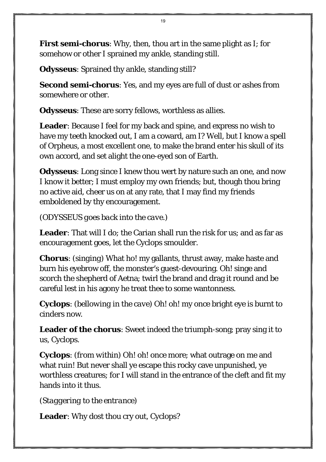**First semi-chorus**: Why, then, thou art in the same plight as I; for somehow or other I sprained my ankle, standing still.

**Odysseus**: Sprained thy ankle, standing still?

**Second semi-chorus**: Yes, and my eyes are full of dust or ashes from somewhere or other.

**Odysseus**: These are sorry fellows, worthless as allies.

**Leader**: Because I feel for my back and spine, and express no wish to have my teeth knocked out, I am a coward, am I? Well, but I know a spell of Orpheus, a most excellent one, to make the brand enter his skull of its own accord, and set alight the one-eyed son of Earth.

**Odysseus:** Long since I knew thou wert by nature such an one, and now I know it better; I must employ my own friends; but, though thou bring no active aid, cheer us on at any rate, that I may find my friends emboldened by thy encouragement.

*(ODYSSEUS goes back into the cave.)*

**Leader**: That will I do; the Carian shall run the risk for us; and as far as encouragement goes, let the Cyclops smoulder.

**Chorus**: *(singing)* What ho! my gallants, thrust away, make haste and burn his eyebrow off, the monster's guest-devouring. Oh! singe and scorch the shepherd of Aetna; twirl the brand and drag it round and be careful lest in his agony he treat thee to some wantonness.

**Cyclops**: *(bellowing in the cave)* Oh! oh! my once bright eye is burnt to cinders now.

**Leader of the chorus**: Sweet indeed the triumph-song; pray sing it to us, Cyclops.

**Cyclops**: *(from within)* Oh! oh! once more; what outrage on me and what ruin! But never shall ye escape this rocky cave unpunished, ye worthless creatures; for I will stand in the entrance of the cleft and fit my hands into it thus.

*(Staggering to the entrance)*

**Leader**: Why dost thou cry out, Cyclops?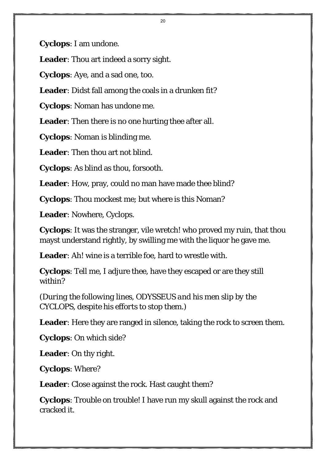**Cyclops**: I am undone.

**Leader**: Thou art indeed a sorry sight.

**Cyclops**: Aye, and a sad one, too.

**Leader**: Didst fall among the coals in a drunken fit?

**Cyclops**: Noman has undone me.

**Leader**: Then there is no one hurting thee after all.

**Cyclops**: Noman is blinding me.

**Leader**: Then thou art not blind.

**Cyclops**: As blind as thou, forsooth.

**Leader**: How, pray, could no man have made thee blind?

**Cyclops**: Thou mockest me; but where is this Noman?

**Leader**: Nowhere, Cyclops.

**Cyclops**: It was the stranger, vile wretch! who proved my ruin, that thou mayst understand rightly, by swilling me with the liquor he gave me.

**Leader**: Ah! wine is a terrible foe, hard to wrestle with.

**Cyclops**: Tell me, I adjure thee, have they escaped or are they still within?

*(During the following lines, ODYSSEUS and his men slip by the CYCLOPS, despite his efforts to stop them.)*

**Leader**: Here they are ranged in silence, taking the rock to screen them.

**Cyclops**: On which side?

**Leader**: On thy right.

**Cyclops**: Where?

**Leader**: Close against the rock. Hast caught them?

**Cyclops**: Trouble on trouble! I have run my skull against the rock and cracked it.